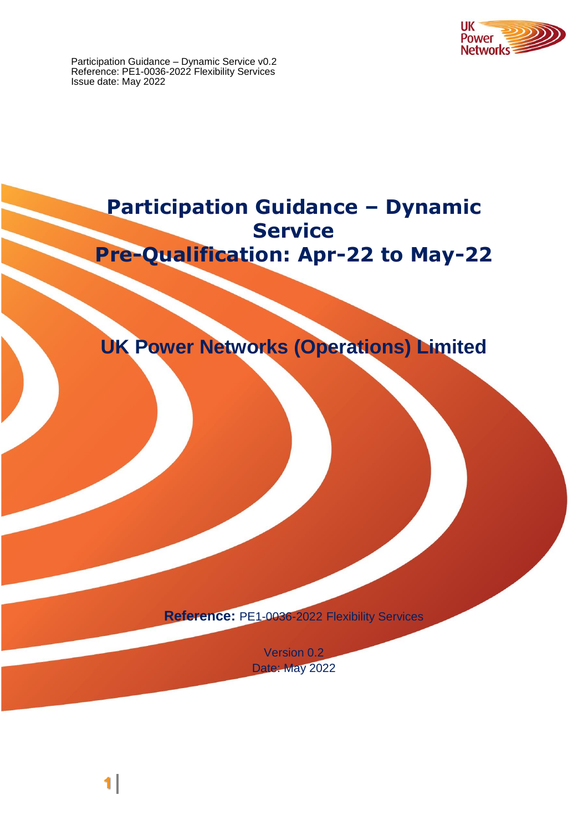



**Reference:** PE1-0036-2022 Flexibility Services

Version 0.2 Date: May 2022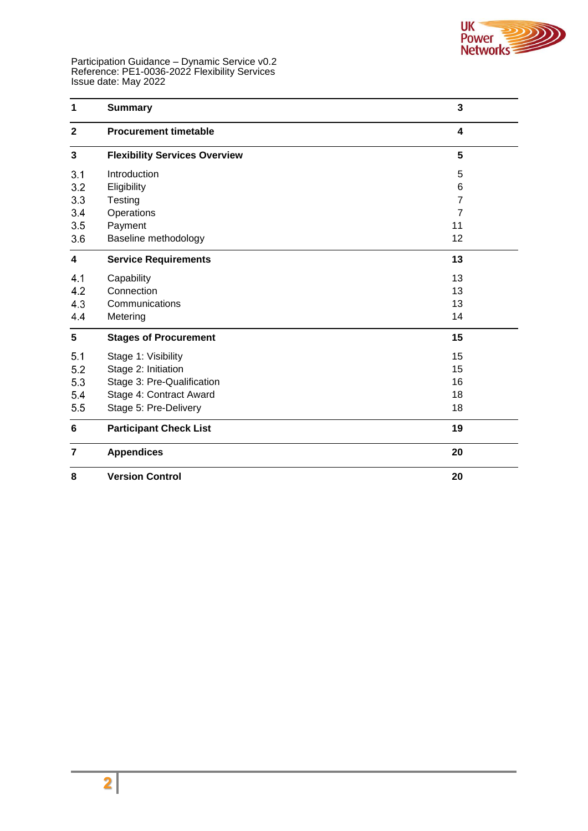

| 1              | <b>Summary</b>                       | 3                       |
|----------------|--------------------------------------|-------------------------|
| $\overline{2}$ | <b>Procurement timetable</b>         | $\overline{\mathbf{4}}$ |
| 3              | <b>Flexibility Services Overview</b> | 5                       |
| 3.1            | Introduction                         | 5                       |
| 3.2            | Eligibility                          | 6                       |
| 3.3            | Testing                              | 7                       |
| 3.4            | Operations                           | $\overline{7}$          |
| 3.5            | Payment                              | 11                      |
| 3.6            | Baseline methodology                 | 12                      |
| 4              | <b>Service Requirements</b>          | 13                      |
| 4.1            | Capability                           | 13                      |
| 4.2            | Connection                           | 13                      |
| 4.3            | Communications                       | 13                      |
| 4.4            | Metering                             | 14                      |
| 5              | <b>Stages of Procurement</b>         | 15                      |
| 5.1            | Stage 1: Visibility                  | 15                      |
| 5.2            | Stage 2: Initiation                  | 15                      |
| 5.3            | Stage 3: Pre-Qualification           | 16                      |
| 5.4            | Stage 4: Contract Award              | 18                      |
| 5.5            | Stage 5: Pre-Delivery                | 18                      |
| 6              | <b>Participant Check List</b>        | 19                      |
| 7              | <b>Appendices</b>                    | 20                      |
| 8              | <b>Version Control</b>               | 20                      |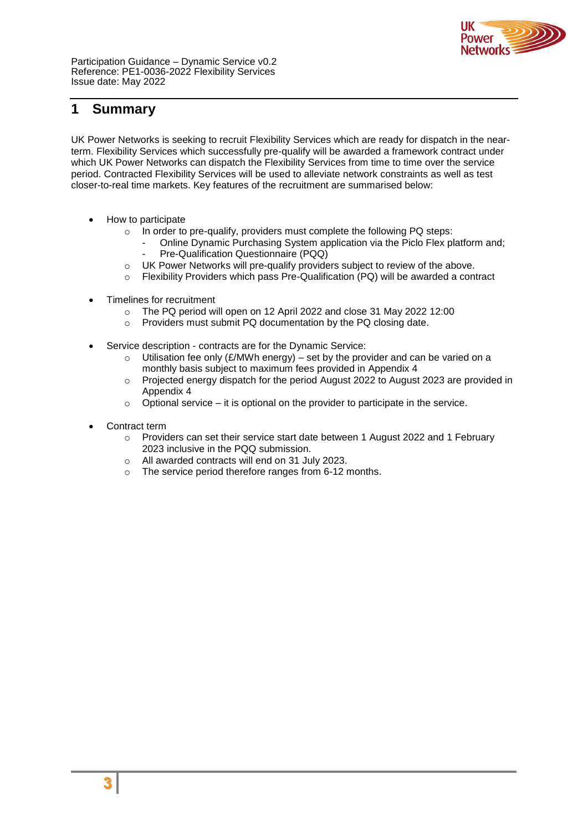

## <span id="page-2-0"></span>**1 Summary**

UK Power Networks is seeking to recruit Flexibility Services which are ready for dispatch in the nearterm. Flexibility Services which successfully pre-qualify will be awarded a framework contract under which UK Power Networks can dispatch the Flexibility Services from time to time over the service period. Contracted Flexibility Services will be used to alleviate network constraints as well as test closer-to-real time markets. Key features of the recruitment are summarised below:

- How to participate
	- o In order to pre-qualify, providers must complete the following PQ steps:
		- Online Dynamic Purchasing System application via the Piclo Flex platform and;
		- Pre-Qualification Questionnaire (PQQ)
	- o UK Power Networks will pre-qualify providers subject to review of the above.
	- $\circ$  Flexibility Providers which pass Pre-Qualification (PQ) will be awarded a contract
- Timelines for recruitment
	- o The PQ period will open on 12 April 2022 and close 31 May 2022 12:00
	- o Providers must submit PQ documentation by the PQ closing date.
- Service description contracts are for the Dynamic Service:
	- $\circ$  Utilisation fee only (£/MWh energy) set by the provider and can be varied on a monthly basis subject to maximum fees provided in Appendix 4
	- o Projected energy dispatch for the period August 2022 to August 2023 are provided in Appendix 4
	- $\circ$  Optional service it is optional on the provider to participate in the service.
- Contract term
	- $\circ$  Providers can set their service start date between 1 August 2022 and 1 February 2023 inclusive in the PQQ submission.
	- o All awarded contracts will end on 31 July 2023.
	- o The service period therefore ranges from 6-12 months.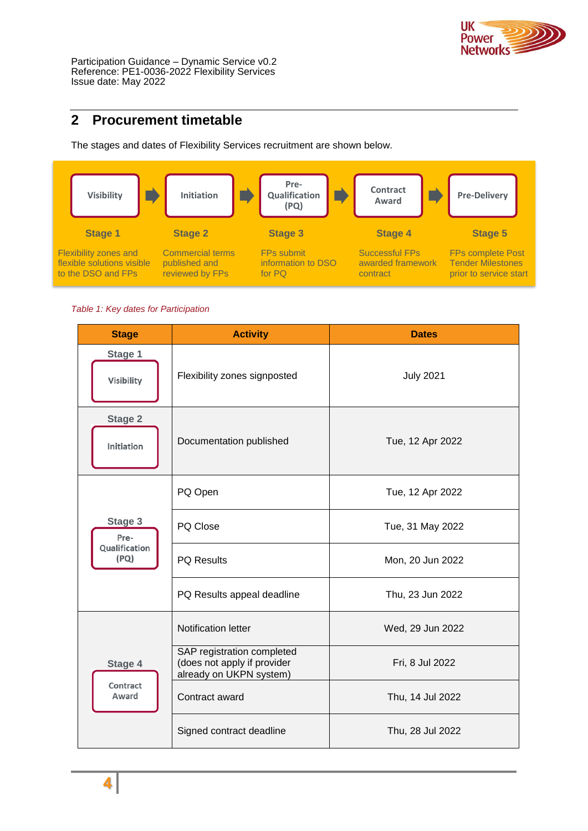

# <span id="page-3-0"></span>**2 Procurement timetable**

The stages and dates of Flexibility Services recruitment are shown below.



*Table 1: Key dates for Participation*

| <b>Stage</b>                 | <b>Activity</b>                                                                      | <b>Dates</b>     |
|------------------------------|--------------------------------------------------------------------------------------|------------------|
| Stage 1<br>Visibility        | Flexibility zones signposted                                                         | <b>July 2021</b> |
| <b>Stage 2</b><br>Initiation | Documentation published                                                              | Tue, 12 Apr 2022 |
|                              | PQ Open                                                                              | Tue, 12 Apr 2022 |
| Stage 3<br>Pre-              | PQ Close                                                                             | Tue, 31 May 2022 |
| Qualification<br>(PQ)        | PQ Results                                                                           | Mon, 20 Jun 2022 |
|                              | PQ Results appeal deadline                                                           | Thu, 23 Jun 2022 |
|                              | <b>Notification letter</b>                                                           | Wed, 29 Jun 2022 |
| Stage 4                      | SAP registration completed<br>(does not apply if provider<br>already on UKPN system) | Fri, 8 Jul 2022  |
| Contract<br>Award            | Contract award                                                                       | Thu, 14 Jul 2022 |
|                              | Signed contract deadline                                                             | Thu, 28 Jul 2022 |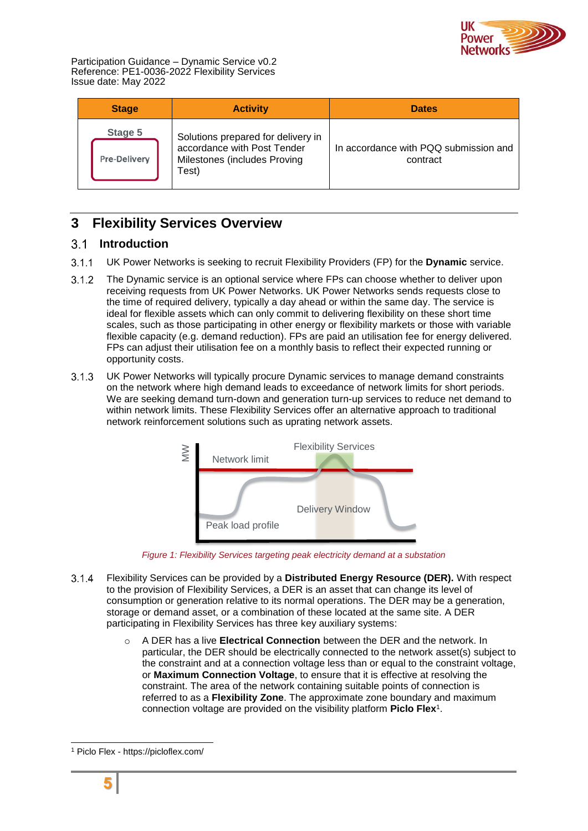

| <b>Stage</b>                   | <b>Activity</b>                                                                                            | <b>Dates</b>                                      |
|--------------------------------|------------------------------------------------------------------------------------------------------------|---------------------------------------------------|
| Stage 5<br><b>Pre-Delivery</b> | Solutions prepared for delivery in<br>accordance with Post Tender<br>Milestones (includes Proving<br>Test) | In accordance with PQQ submission and<br>contract |

# <span id="page-4-0"></span>**3 Flexibility Services Overview**

## <span id="page-4-1"></span>**Introduction**

- $3.1.1$ UK Power Networks is seeking to recruit Flexibility Providers (FP) for the **Dynamic** service.
- $3.1.2$ The Dynamic service is an optional service where FPs can choose whether to deliver upon receiving requests from UK Power Networks. UK Power Networks sends requests close to the time of required delivery, typically a day ahead or within the same day. The service is ideal for flexible assets which can only commit to delivering flexibility on these short time scales, such as those participating in other energy or flexibility markets or those with variable flexible capacity (e.g. demand reduction). FPs are paid an utilisation fee for energy delivered. FPs can adjust their utilisation fee on a monthly basis to reflect their expected running or opportunity costs.
- $3.1.3$ UK Power Networks will typically procure Dynamic services to manage demand constraints on the network where high demand leads to exceedance of network limits for short periods. We are seeking demand turn-down and generation turn-up services to reduce net demand to within network limits. These Flexibility Services offer an alternative approach to traditional network reinforcement solutions such as uprating network assets.



Figure 1: Flexibility Services targeting peak electricity demand at a substation

- $3.1.4$ Flexibility Services can be provided by a **Distributed Energy Resource (DER).** With respect to the provision of Flexibility Services, a DER is an asset that can change its level of consumption or generation relative to its normal operations. The DER may be a generation, storage or demand asset, or a combination of these located at the same site. A DER participating in Flexibility Services has three key auxiliary systems:
	- o A DER has a live **Electrical Connection** between the DER and the network. In particular, the DER should be electrically connected to the network asset(s) subject to the constraint and at a connection voltage less than or equal to the constraint voltage, or **Maximum Connection Voltage**, to ensure that it is effective at resolving the constraint. The area of the network containing suitable points of connection is referred to as a **Flexibility Zone**. The approximate zone boundary and maximum connection voltage are provided on the visibility platform **Piclo Flex**<sup>1</sup> .

<sup>1</sup> Piclo Flex - https://picloflex.com/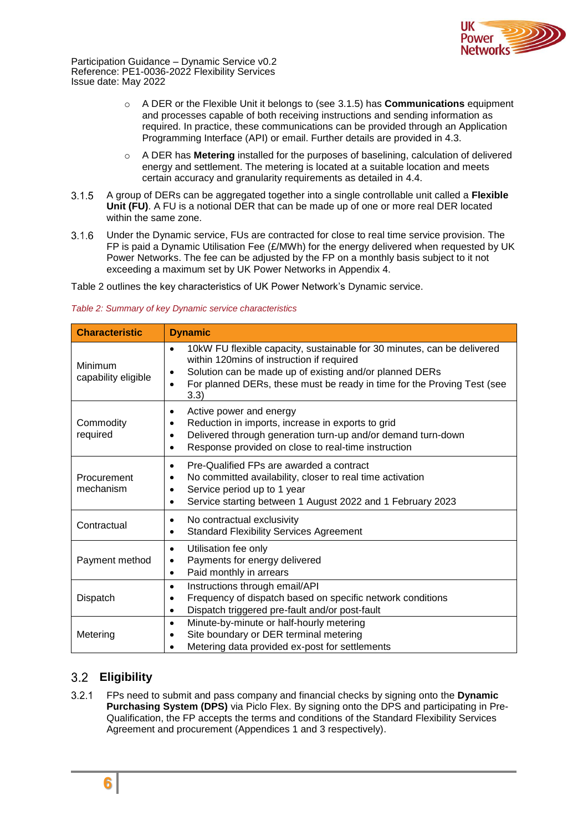

- o A DER or the Flexible Unit it belongs to (see [3.1.5\)](#page-5-1) has **Communications** equipment and processes capable of both receiving instructions and sending information as required. In practice, these communications can be provided through an Application Programming Interface (API) or email. Further details are provided in [4.3.](#page-12-3)
- o A DER has **Metering** installed for the purposes of baselining, calculation of delivered energy and settlement. The metering is located at a suitable location and meets certain accuracy and granularity requirements as detailed in [4.4.](#page-13-0)
- <span id="page-5-1"></span> $3.1.5$ A group of DERs can be aggregated together into a single controllable unit called a **Flexible Unit (FU)**. A FU is a notional DER that can be made up of one or more real DER located within the same zone.
- $3.1.6$ Under the Dynamic service, FUs are contracted for close to real time service provision. The FP is paid a Dynamic Utilisation Fee (£/MWh) for the energy delivered when requested by UK Power Networks. The fee can be adjusted by the FP on a monthly basis subject to it not exceeding a maximum set by UK Power Networks in Appendix 4.

[Table 2](#page-5-2) outlines the key characteristics of UK Power Network's Dynamic service.

<span id="page-5-2"></span>

| <b>Characteristic</b>          | <b>Dynamic</b>                                                                                                                                                                                                                                                                  |  |  |
|--------------------------------|---------------------------------------------------------------------------------------------------------------------------------------------------------------------------------------------------------------------------------------------------------------------------------|--|--|
| Minimum<br>capability eligible | 10kW FU flexible capacity, sustainable for 30 minutes, can be delivered<br>$\bullet$<br>within 120mins of instruction if required<br>Solution can be made up of existing and/or planned DERs<br>For planned DERs, these must be ready in time for the Proving Test (see<br>3.3) |  |  |
| Commodity<br>required          | Active power and energy<br>$\bullet$<br>Reduction in imports, increase in exports to grid<br>٠<br>Delivered through generation turn-up and/or demand turn-down<br>$\bullet$<br>Response provided on close to real-time instruction<br>$\bullet$                                 |  |  |
| Procurement<br>mechanism       | Pre-Qualified FPs are awarded a contract<br>$\bullet$<br>No committed availability, closer to real time activation<br>Service period up to 1 year<br>Service starting between 1 August 2022 and 1 February 2023<br>$\bullet$                                                    |  |  |
| Contractual                    | No contractual exclusivity<br>$\bullet$<br><b>Standard Flexibility Services Agreement</b><br>$\bullet$                                                                                                                                                                          |  |  |
| Payment method                 | Utilisation fee only<br>$\bullet$<br>Payments for energy delivered<br>$\bullet$<br>Paid monthly in arrears<br>$\bullet$                                                                                                                                                         |  |  |
| Dispatch                       | Instructions through email/API<br>$\bullet$<br>Frequency of dispatch based on specific network conditions<br>٠<br>Dispatch triggered pre-fault and/or post-fault<br>$\bullet$                                                                                                   |  |  |
| Metering                       | Minute-by-minute or half-hourly metering<br>$\bullet$<br>Site boundary or DER terminal metering<br>$\bullet$<br>Metering data provided ex-post for settlements                                                                                                                  |  |  |

## <span id="page-5-0"></span>**Eligibility**

 $3.2.1$ FPs need to submit and pass company and financial checks by signing onto the **Dynamic Purchasing System (DPS)** via Piclo Flex. By signing onto the DPS and participating in Pre-Qualification, the FP accepts the terms and conditions of the Standard Flexibility Services Agreement and procurement (Appendices 1 and 3 respectively).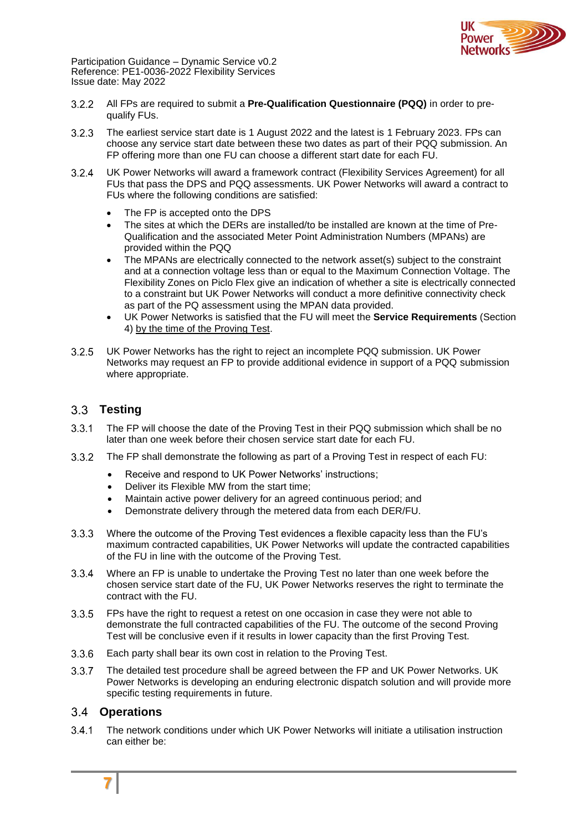

- All FPs are required to submit a **Pre-Qualification Questionnaire (PQQ)** in order to pre- $3.2.2$ qualify FUs.
- $3.2.3$ The earliest service start date is 1 August 2022 and the latest is 1 February 2023. FPs can choose any service start date between these two dates as part of their PQQ submission. An FP offering more than one FU can choose a different start date for each FU.
- <span id="page-6-2"></span> $3.2.4$ UK Power Networks will award a framework contract (Flexibility Services Agreement) for all FUs that pass the DPS and PQQ assessments. UK Power Networks will award a contract to FUs where the following conditions are satisfied:
	- The FP is accepted onto the DPS
	- The sites at which the DERs are installed/to be installed are known at the time of Pre-Qualification and the associated Meter Point Administration Numbers (MPANs) are provided within the PQQ
	- The MPANs are electrically connected to the network asset(s) subject to the constraint and at a connection voltage less than or equal to the Maximum Connection Voltage. The Flexibility Zones on Piclo Flex give an indication of whether a site is electrically connected to a constraint but UK Power Networks will conduct a more definitive connectivity check as part of the PQ assessment using the MPAN data provided.
	- UK Power Networks is satisfied that the FU will meet the **Service Requirements** (Section [4\)](#page-12-0) by the time of the Proving Test.
- $3.2.5$ UK Power Networks has the right to reject an incomplete PQQ submission. UK Power Networks may request an FP to provide additional evidence in support of a PQQ submission where appropriate.

## <span id="page-6-0"></span>**Testing**

- $3.3.1$ The FP will choose the date of the Proving Test in their PQQ submission which shall be no later than one week before their chosen service start date for each FU.
- The FP shall demonstrate the following as part of a Proving Test in respect of each FU:  $3.3.2$ 
	- Receive and respond to UK Power Networks' instructions;
	- Deliver its Flexible MW from the start time;
	- Maintain active power delivery for an agreed continuous period; and
	- Demonstrate delivery through the metered data from each DER/FU.
- $3.3.3$ Where the outcome of the Proving Test evidences a flexible capacity less than the FU's maximum contracted capabilities, UK Power Networks will update the contracted capabilities of the FU in line with the outcome of the Proving Test.
- $3.3.4$ Where an FP is unable to undertake the Proving Test no later than one week before the chosen service start date of the FU, UK Power Networks reserves the right to terminate the contract with the FU.
- $3.3.5$ FPs have the right to request a retest on one occasion in case they were not able to demonstrate the full contracted capabilities of the FU. The outcome of the second Proving Test will be conclusive even if it results in lower capacity than the first Proving Test.
- $3.3.6$ Each party shall bear its own cost in relation to the Proving Test.
- $3.3.7$ The detailed test procedure shall be agreed between the FP and UK Power Networks. UK Power Networks is developing an enduring electronic dispatch solution and will provide more specific testing requirements in future.

### <span id="page-6-1"></span>**Operations**

The network conditions under which UK Power Networks will initiate a utilisation instruction can either be: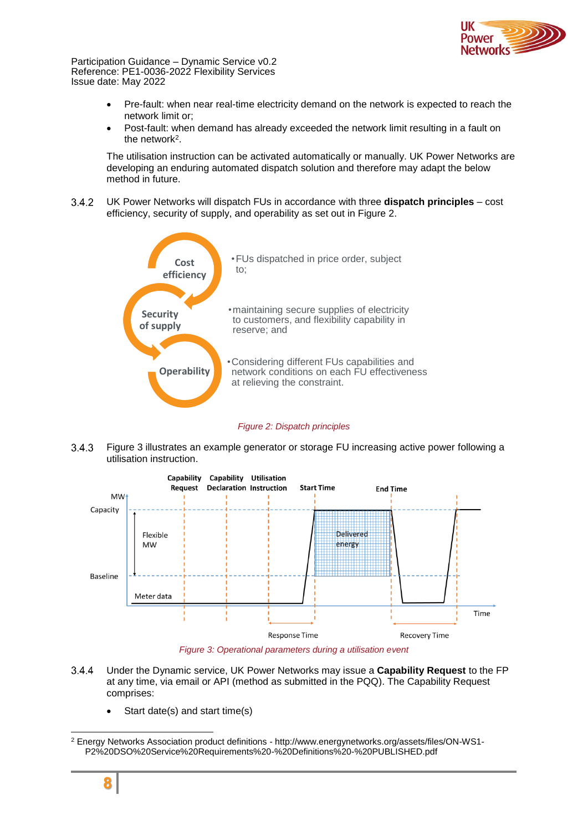

- Pre-fault: when near real-time electricity demand on the network is expected to reach the network limit or;
- Post-fault: when demand has already exceeded the network limit resulting in a fault on the network<sup>2</sup>.

The utilisation instruction can be activated automatically or manually. UK Power Networks are developing an enduring automated dispatch solution and therefore may adapt the below method in future.

 $3.4.2$ UK Power Networks will dispatch FUs in accordance with three **dispatch principles** – cost efficiency, security of supply, and operability as set out in [Figure 2.](#page-7-0)



*Figure 2: Dispatch principles*

<span id="page-7-0"></span> $3.4.3$ [Figure 3](#page-7-1) illustrates an example generator or storage FU increasing active power following a utilisation instruction.



*Figure 3: Operational parameters during a utilisation event*

- <span id="page-7-1"></span> $3.4.4$ Under the Dynamic service, UK Power Networks may issue a **Capability Request** to the FP at any time, via email or API (method as submitted in the PQQ). The Capability Request comprises:
	- Start date(s) and start time(s)

<sup>2</sup> Energy Networks Association product definitions - http://www.energynetworks.org/assets/files/ON-WS1- P2%20DSO%20Service%20Requirements%20-%20Definitions%20-%20PUBLISHED.pdf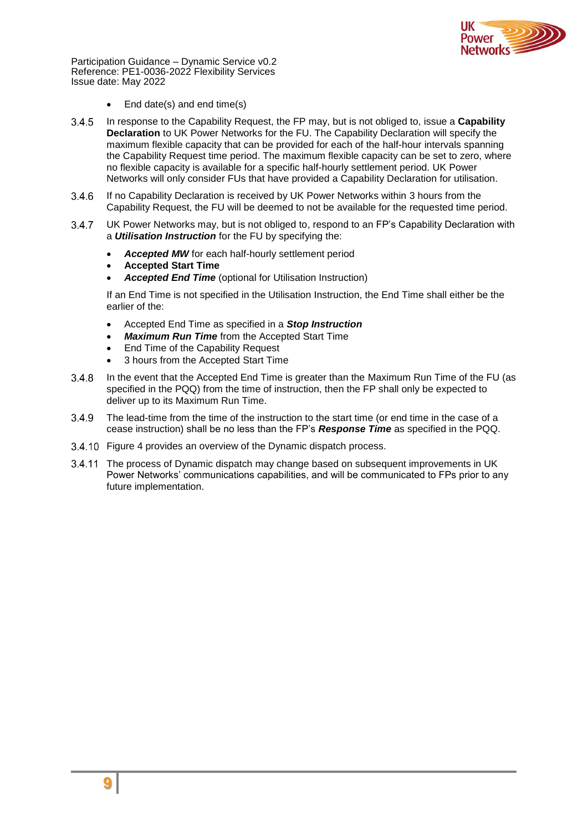

- End date(s) and end time(s)
- In response to the Capability Request, the FP may, but is not obliged to, issue a **Capability**  $3.4.5$ **Declaration** to UK Power Networks for the FU. The Capability Declaration will specify the maximum flexible capacity that can be provided for each of the half-hour intervals spanning the Capability Request time period. The maximum flexible capacity can be set to zero, where no flexible capacity is available for a specific half-hourly settlement period. UK Power Networks will only consider FUs that have provided a Capability Declaration for utilisation.
- If no Capability Declaration is received by UK Power Networks within 3 hours from the  $3.4.6$ Capability Request, the FU will be deemed to not be available for the requested time period.
- $3.4.7$ UK Power Networks may, but is not obliged to, respond to an FP's Capability Declaration with a *Utilisation Instruction* for the FU by specifying the:
	- *Accepted MW* for each half-hourly settlement period
	- **Accepted Start Time**
	- *Accepted End Time* (optional for Utilisation Instruction)

If an End Time is not specified in the Utilisation Instruction, the End Time shall either be the earlier of the:

- Accepted End Time as specified in a *Stop Instruction*
- *Maximum Run Time* from the Accepted Start Time
- End Time of the Capability Request
- 3 hours from the Accepted Start Time
- In the event that the Accepted End Time is greater than the Maximum Run Time of the FU (as  $3.4.8$ specified in the PQQ) from the time of instruction, then the FP shall only be expected to deliver up to its Maximum Run Time.
- 3.4.9 The lead-time from the time of the instruction to the start time (or end time in the case of a cease instruction) shall be no less than the FP's *Response Time* as specified in the PQQ.
- 3.4.10 [Figure 4](#page-9-0) provides an overview of the Dynamic dispatch process.
- 3.4.11 The process of Dynamic dispatch may change based on subsequent improvements in UK Power Networks' communications capabilities, and will be communicated to FPs prior to any future implementation.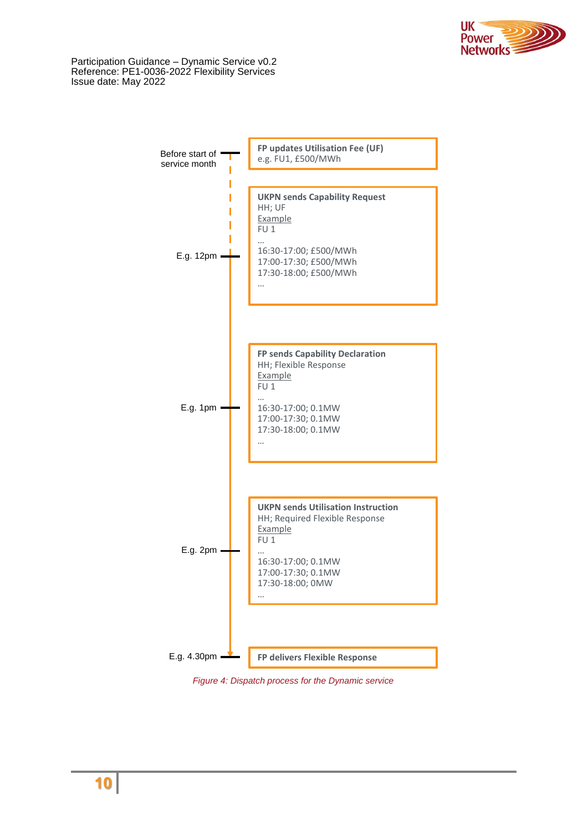



<span id="page-9-0"></span>*Figure 4: Dispatch process for the Dynamic service*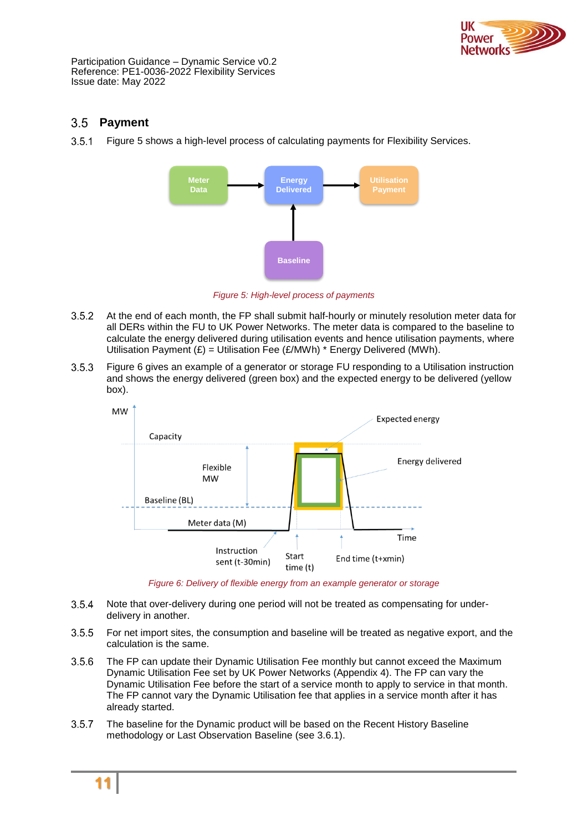

## <span id="page-10-0"></span>**Payment**

 $3.5.1$ [Figure 5](#page-10-1) shows a high-level process of calculating payments for Flexibility Services.



*Figure 5: High-level process of payments*

- <span id="page-10-1"></span> $3.5.2$ At the end of each month, the FP shall submit half-hourly or minutely resolution meter data for all DERs within the FU to UK Power Networks. The meter data is compared to the baseline to calculate the energy delivered during utilisation events and hence utilisation payments, where Utilisation Payment  $(E)$  = Utilisation Fee ( $E/MWh$ )<sup>\*</sup> Energy Delivered (MWh).
- $3.5.3$ [Figure 6](#page-10-2) gives an example of a generator or storage FU responding to a Utilisation instruction and shows the energy delivered (green box) and the expected energy to be delivered (yellow box).



*Figure 6: Delivery of flexible energy from an example generator or storage*

- <span id="page-10-2"></span> $3.5.4$ Note that over-delivery during one period will not be treated as compensating for underdelivery in another.
- $3.5.5$ For net import sites, the consumption and baseline will be treated as negative export, and the calculation is the same.
- $3.5.6$ The FP can update their Dynamic Utilisation Fee monthly but cannot exceed the Maximum Dynamic Utilisation Fee set by UK Power Networks (Appendix 4). The FP can vary the Dynamic Utilisation Fee before the start of a service month to apply to service in that month. The FP cannot vary the Dynamic Utilisation fee that applies in a service month after it has already started.
- $3.5.7$ The baseline for the Dynamic product will be based on the Recent History Baseline methodology or Last Observation Baseline (see [3.6.1\)](#page-11-1).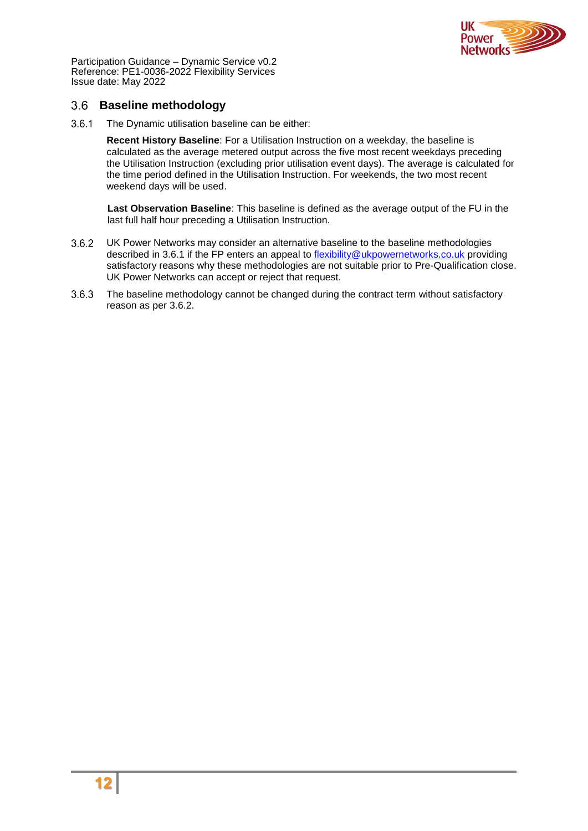

### <span id="page-11-0"></span>**Baseline methodology**

<span id="page-11-1"></span>3.6.1 The Dynamic utilisation baseline can be either:

**Recent History Baseline**: For a Utilisation Instruction on a weekday, the baseline is calculated as the average metered output across the five most recent weekdays preceding the Utilisation Instruction (excluding prior utilisation event days). The average is calculated for the time period defined in the Utilisation Instruction. For weekends, the two most recent weekend days will be used.

**Last Observation Baseline**: This baseline is defined as the average output of the FU in the last full half hour preceding a Utilisation Instruction.

- <span id="page-11-2"></span> $3.6.2$ UK Power Networks may consider an alternative baseline to the baseline methodologies described in [3.6.1](#page-11-1) if the FP enters an appeal to [flexibility@ukpowernetworks.co.uk](mailto:flexibility@ukpowernetworks.co.uk) providing satisfactory reasons why these methodologies are not suitable prior to Pre-Qualification close. UK Power Networks can accept or reject that request.
- $3.6.3$ The baseline methodology cannot be changed during the contract term without satisfactory reason as per [3.6.2.](#page-11-2)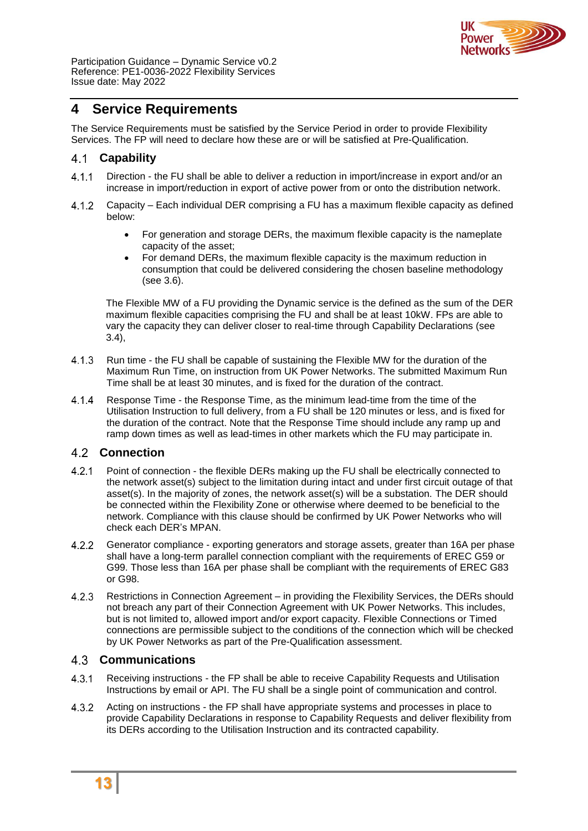

## <span id="page-12-0"></span>**4 Service Requirements**

The Service Requirements must be satisfied by the Service Period in order to provide Flexibility Services. The FP will need to declare how these are or will be satisfied at Pre-Qualification.

#### <span id="page-12-1"></span>4.1 **Capability**

- $4.1.1$ Direction - the FU shall be able to deliver a reduction in import/increase in export and/or an increase in import/reduction in export of active power from or onto the distribution network.
- Capacity Each individual DER comprising a FU has a maximum flexible capacity as defined  $4.1.2$ below:
	- For generation and storage DERs, the maximum flexible capacity is the nameplate capacity of the asset;
	- For demand DERs, the maximum flexible capacity is the maximum reduction in consumption that could be delivered considering the chosen baseline methodology (see [3.6\)](#page-11-0).

The Flexible MW of a FU providing the Dynamic service is the defined as the sum of the DER maximum flexible capacities comprising the FU and shall be at least 10kW. FPs are able to vary the capacity they can deliver closer to real-time through Capability Declarations (see [3.4\)](#page-6-1),

- $4.1.3$ Run time - the FU shall be capable of sustaining the Flexible MW for the duration of the Maximum Run Time, on instruction from UK Power Networks. The submitted Maximum Run Time shall be at least 30 minutes, and is fixed for the duration of the contract.
- $4.1.4$ Response Time - the Response Time, as the minimum lead-time from the time of the Utilisation Instruction to full delivery, from a FU shall be 120 minutes or less, and is fixed for the duration of the contract. Note that the Response Time should include any ramp up and ramp down times as well as lead-times in other markets which the FU may participate in.

### <span id="page-12-2"></span>**Connection**

- $4.2.1$ Point of connection - the flexible DERs making up the FU shall be electrically connected to the network asset(s) subject to the limitation during intact and under first circuit outage of that asset(s). In the majority of zones, the network asset(s) will be a substation. The DER should be connected within the Flexibility Zone or otherwise where deemed to be beneficial to the network. Compliance with this clause should be confirmed by UK Power Networks who will check each DER's MPAN.
- $4.2.2$ Generator compliance - exporting generators and storage assets, greater than 16A per phase shall have a long-term parallel connection compliant with the requirements of EREC G59 or G99. Those less than 16A per phase shall be compliant with the requirements of EREC G83 or G98.
- Restrictions in Connection Agreement in providing the Flexibility Services, the DERs should  $4.2.3$ not breach any part of their Connection Agreement with UK Power Networks. This includes, but is not limited to, allowed import and/or export capacity. Flexible Connections or Timed connections are permissible subject to the conditions of the connection which will be checked by UK Power Networks as part of the Pre-Qualification assessment.

### <span id="page-12-3"></span>**Communications**

- $4.3.1$ Receiving instructions - the FP shall be able to receive Capability Requests and Utilisation Instructions by email or API. The FU shall be a single point of communication and control.
- $4.3.2$ Acting on instructions - the FP shall have appropriate systems and processes in place to provide Capability Declarations in response to Capability Requests and deliver flexibility from its DERs according to the Utilisation Instruction and its contracted capability.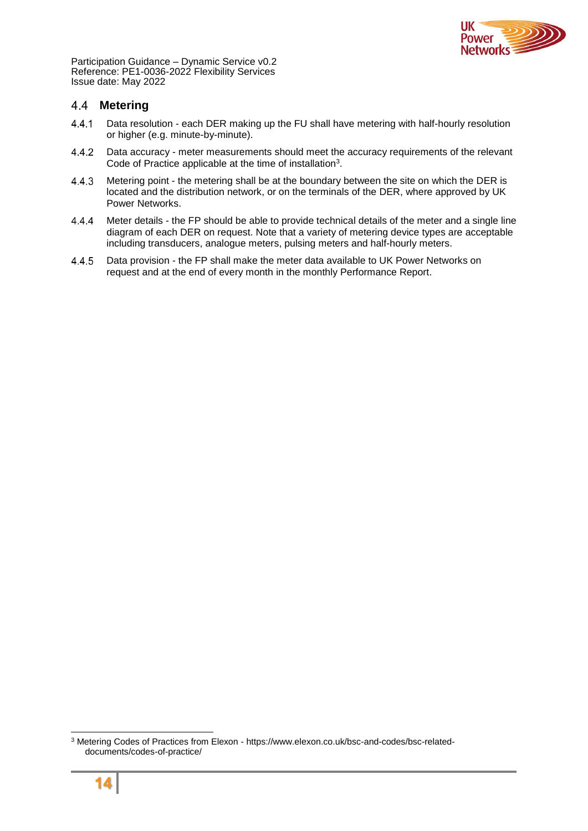

#### <span id="page-13-0"></span> $4.4$ **Metering**

- $4.4.1$ Data resolution - each DER making up the FU shall have metering with half-hourly resolution or higher (e.g. minute-by-minute).
- Data accuracy meter measurements should meet the accuracy requirements of the relevant 4.4.2 Code of Practice applicable at the time of installation<sup>3</sup>.
- 4.4.3 Metering point - the metering shall be at the boundary between the site on which the DER is located and the distribution network, or on the terminals of the DER, where approved by UK Power Networks.
- 4.4.4 Meter details - the FP should be able to provide technical details of the meter and a single line diagram of each DER on request. Note that a variety of metering device types are acceptable including transducers, analogue meters, pulsing meters and half-hourly meters.
- $4.4.5$ Data provision - the FP shall make the meter data available to UK Power Networks on request and at the end of every month in the monthly Performance Report.

<sup>3</sup> Metering Codes of Practices from Elexon - https://www.elexon.co.uk/bsc-and-codes/bsc-relateddocuments/codes-of-practice/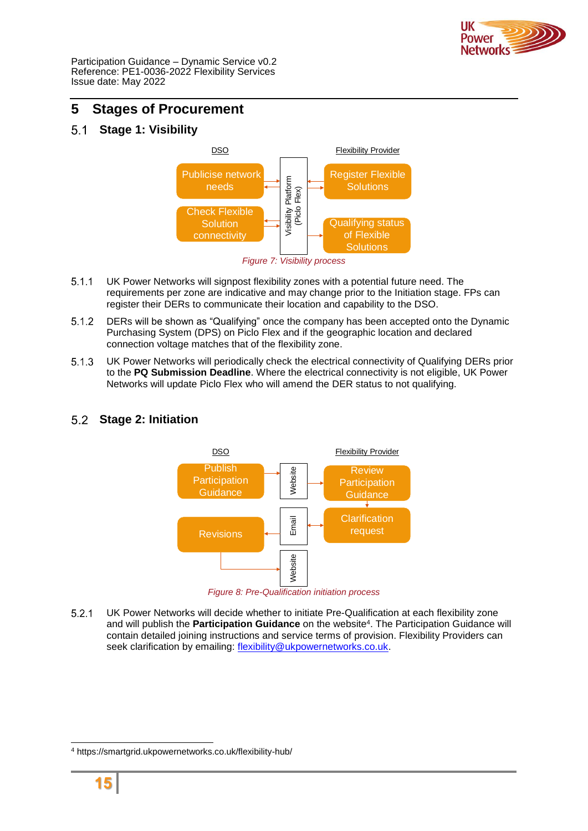

## <span id="page-14-0"></span>**5 Stages of Procurement**

#### <span id="page-14-1"></span> $5.1$ **Stage 1: Visibility**



- $5.1.1$ UK Power Networks will signpost flexibility zones with a potential future need. The requirements per zone are indicative and may change prior to the Initiation stage. FPs can register their DERs to communicate their location and capability to the DSO.
- $5.1.2$ DERs will be shown as "Qualifying" once the company has been accepted onto the Dynamic Purchasing System (DPS) on Piclo Flex and if the geographic location and declared connection voltage matches that of the flexibility zone.
- UK Power Networks will periodically check the electrical connectivity of Qualifying DERs prior  $5.1.3$ to the **PQ Submission Deadline**. Where the electrical connectivity is not eligible, UK Power Networks will update Piclo Flex who will amend the DER status to not qualifying.

## Publish **Participation Guidance Review Participation Guidance** DSO Flexibility Provider **Clarification** Publish<br>
Carticipation<br>
Guidance<br>
Revisions Website

## <span id="page-14-2"></span>**Stage 2: Initiation**



 $5.2.1$ UK Power Networks will decide whether to initiate Pre-Qualification at each flexibility zone and will publish the **Participation Guidance** on the website<sup>4</sup> . The Participation Guidance will contain detailed joining instructions and service terms of provision. Flexibility Providers can seek clarification by emailing: [flexibility@ukpowernetworks.co.uk.](mailto:flexibility@ukpowernetworks.co.uk)

<sup>4</sup> https://smartgrid.ukpowernetworks.co.uk/flexibility-hub/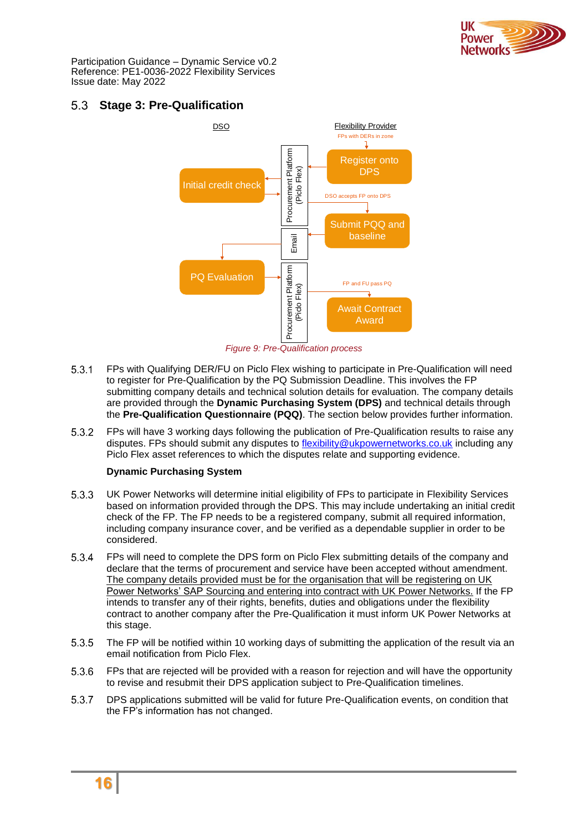

## <span id="page-15-0"></span>**Stage 3: Pre-Qualification**



*Figure 9: Pre-Qualification process*

- $5.3.1$ FPs with Qualifying DER/FU on Piclo Flex wishing to participate in Pre-Qualification will need to register for Pre-Qualification by the PQ Submission Deadline. This involves the FP submitting company details and technical solution details for evaluation. The company details are provided through the **Dynamic Purchasing System (DPS)** and technical details through the **Pre-Qualification Questionnaire (PQQ)**. The section below provides further information.
- $5.3.2$ FPs will have 3 working days following the publication of Pre-Qualification results to raise any disputes. FPs should submit any disputes to [flexibility@ukpowernetworks.co.uk](mailto:flexibility@ukpowernetworks.co.uk) including any Piclo Flex asset references to which the disputes relate and supporting evidence.

#### **Dynamic Purchasing System**

- $5.3.3$ UK Power Networks will determine initial eligibility of FPs to participate in Flexibility Services based on information provided through the DPS. This may include undertaking an initial credit check of the FP. The FP needs to be a registered company, submit all required information, including company insurance cover, and be verified as a dependable supplier in order to be considered.
- $5.3.4$ FPs will need to complete the DPS form on Piclo Flex submitting details of the company and declare that the terms of procurement and service have been accepted without amendment. The company details provided must be for the organisation that will be registering on UK Power Networks' SAP Sourcing and entering into contract with UK Power Networks. If the FP intends to transfer any of their rights, benefits, duties and obligations under the flexibility contract to another company after the Pre-Qualification it must inform UK Power Networks at this stage.
- 5.3.5 The FP will be notified within 10 working days of submitting the application of the result via an email notification from Piclo Flex.
- 5.3.6 FPs that are rejected will be provided with a reason for rejection and will have the opportunity to revise and resubmit their DPS application subject to Pre-Qualification timelines.
- 5.3.7 DPS applications submitted will be valid for future Pre-Qualification events, on condition that the FP's information has not changed.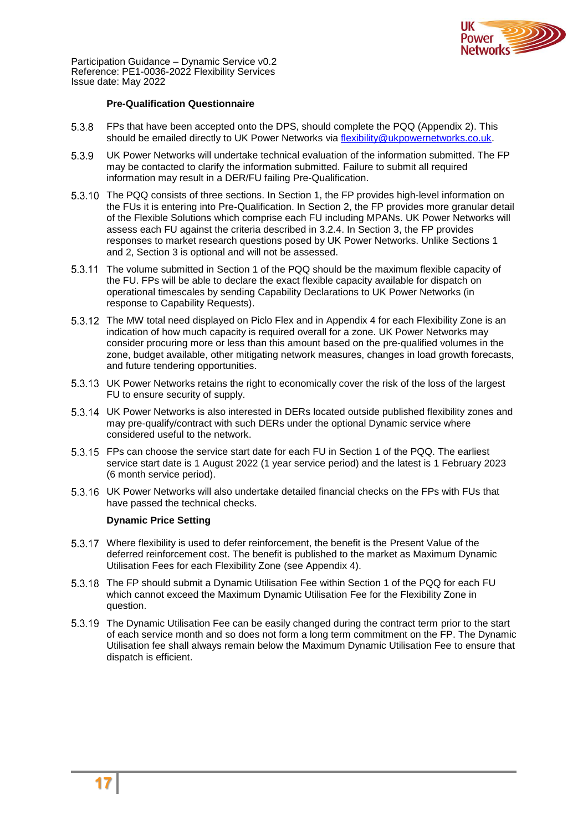

#### **Pre-Qualification Questionnaire**

- 5.3.8 FPs that have been accepted onto the DPS, should complete the PQQ (Appendix 2). This should be emailed directly to UK Power Networks via [flexibility@ukpowernetworks.co.uk.](mailto:flexibility@ukpowernetworks.co.uk)
- 5.3.9 UK Power Networks will undertake technical evaluation of the information submitted. The FP may be contacted to clarify the information submitted. Failure to submit all required information may result in a DER/FU failing Pre-Qualification.
- 5.3.10 The PQQ consists of three sections. In Section 1, the FP provides high-level information on the FUs it is entering into Pre-Qualification. In Section 2, the FP provides more granular detail of the Flexible Solutions which comprise each FU including MPANs. UK Power Networks will assess each FU against the criteria described in [3.2.4.](#page-6-2) In Section 3, the FP provides responses to market research questions posed by UK Power Networks. Unlike Sections 1 and 2, Section 3 is optional and will not be assessed.
- The volume submitted in Section 1 of the PQQ should be the maximum flexible capacity of the FU. FPs will be able to declare the exact flexible capacity available for dispatch on operational timescales by sending Capability Declarations to UK Power Networks (in response to Capability Requests).
- 5.3.12 The MW total need displayed on Piclo Flex and in Appendix 4 for each Flexibility Zone is an indication of how much capacity is required overall for a zone. UK Power Networks may consider procuring more or less than this amount based on the pre-qualified volumes in the zone, budget available, other mitigating network measures, changes in load growth forecasts, and future tendering opportunities.
- UK Power Networks retains the right to economically cover the risk of the loss of the largest FU to ensure security of supply.
- UK Power Networks is also interested in DERs located outside published flexibility zones and may pre-qualify/contract with such DERs under the optional Dynamic service where considered useful to the network.
- FPs can choose the service start date for each FU in Section 1 of the PQQ. The earliest service start date is 1 August 2022 (1 year service period) and the latest is 1 February 2023 (6 month service period).
- UK Power Networks will also undertake detailed financial checks on the FPs with FUs that have passed the technical checks.

#### **Dynamic Price Setting**

- Where flexibility is used to defer reinforcement, the benefit is the Present Value of the deferred reinforcement cost. The benefit is published to the market as Maximum Dynamic Utilisation Fees for each Flexibility Zone (see Appendix 4).
- The FP should submit a Dynamic Utilisation Fee within Section 1 of the PQQ for each FU which cannot exceed the Maximum Dynamic Utilisation Fee for the Flexibility Zone in question.
- The Dynamic Utilisation Fee can be easily changed during the contract term prior to the start of each service month and so does not form a long term commitment on the FP. The Dynamic Utilisation fee shall always remain below the Maximum Dynamic Utilisation Fee to ensure that dispatch is efficient.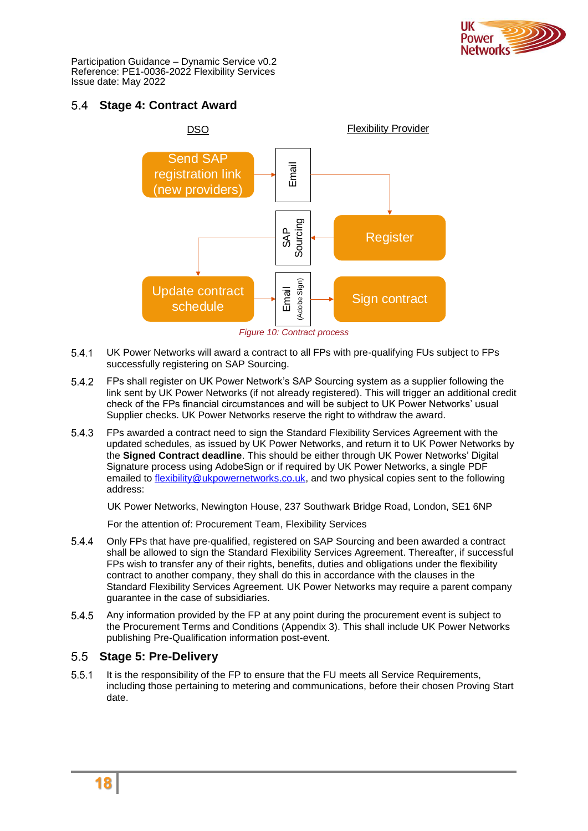

## <span id="page-17-0"></span>**Stage 4: Contract Award**



*Figure 10: Contract process*

- UK Power Networks will award a contract to all FPs with pre-qualifying FUs subject to FPs  $5.4.1$ successfully registering on SAP Sourcing.
- $5.4.2$ FPs shall register on UK Power Network's SAP Sourcing system as a supplier following the link sent by UK Power Networks (if not already registered). This will trigger an additional credit check of the FPs financial circumstances and will be subject to UK Power Networks' usual Supplier checks. UK Power Networks reserve the right to withdraw the award.
- 5.4.3 FPs awarded a contract need to sign the Standard Flexibility Services Agreement with the updated schedules, as issued by UK Power Networks, and return it to UK Power Networks by the **Signed Contract deadline**. This should be either through UK Power Networks' Digital Signature process using AdobeSign or if required by UK Power Networks, a single PDF emailed to [flexibility@ukpowernetworks.co.uk,](mailto:flexibility@ukpowernetworks.co.uk) and two physical copies sent to the following address:

UK Power Networks, Newington House, 237 Southwark Bridge Road, London, SE1 6NP

For the attention of: Procurement Team, Flexibility Services

- $5.4.4$ Only FPs that have pre-qualified, registered on SAP Sourcing and been awarded a contract shall be allowed to sign the Standard Flexibility Services Agreement. Thereafter, if successful FPs wish to transfer any of their rights, benefits, duties and obligations under the flexibility contract to another company, they shall do this in accordance with the clauses in the Standard Flexibility Services Agreement. UK Power Networks may require a parent company guarantee in the case of subsidiaries.
- $5.4.5$ Any information provided by the FP at any point during the procurement event is subject to the Procurement Terms and Conditions (Appendix 3). This shall include UK Power Networks publishing Pre-Qualification information post-event.

## <span id="page-17-1"></span>**Stage 5: Pre-Delivery**

 $5.5.1$ It is the responsibility of the FP to ensure that the FU meets all Service Requirements, including those pertaining to metering and communications, before their chosen Proving Start date.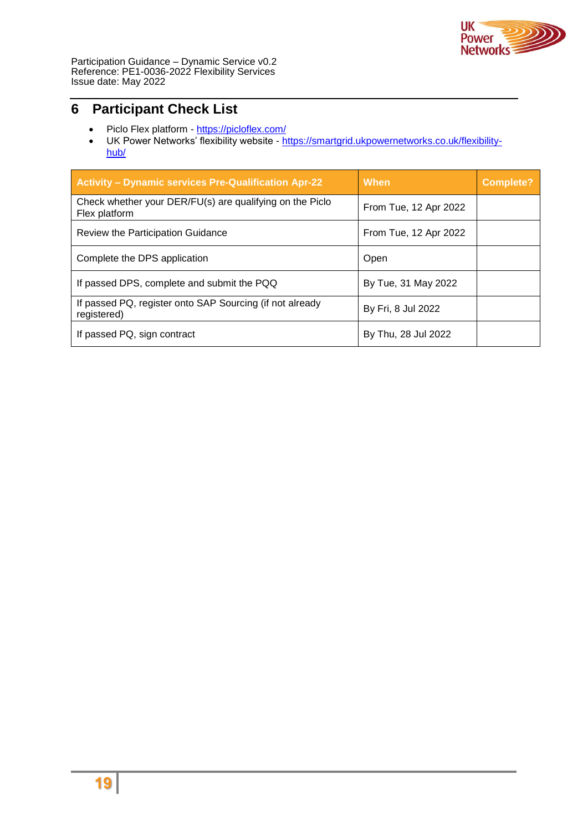

# <span id="page-18-0"></span>**6 Participant Check List**

- Piclo Flex platform <https://picloflex.com/>
- UK Power Networks' flexibility website [https://smartgrid.ukpowernetworks.co.uk/flexibility](https://smartgrid.ukpowernetworks.co.uk/flexibility-hub/)[hub/](https://smartgrid.ukpowernetworks.co.uk/flexibility-hub/)

| <b>Activity - Dynamic services Pre-Qualification Apr-22</b>               | When                  | <b>Complete?</b> |
|---------------------------------------------------------------------------|-----------------------|------------------|
| Check whether your DER/FU(s) are qualifying on the Piclo<br>Flex platform | From Tue, 12 Apr 2022 |                  |
| Review the Participation Guidance                                         | From Tue, 12 Apr 2022 |                  |
| Complete the DPS application                                              | Open                  |                  |
| If passed DPS, complete and submit the PQQ                                | By Tue, 31 May 2022   |                  |
| If passed PQ, register onto SAP Sourcing (if not already<br>registered)   | By Fri, 8 Jul 2022    |                  |
| If passed PQ, sign contract                                               | By Thu, 28 Jul 2022   |                  |